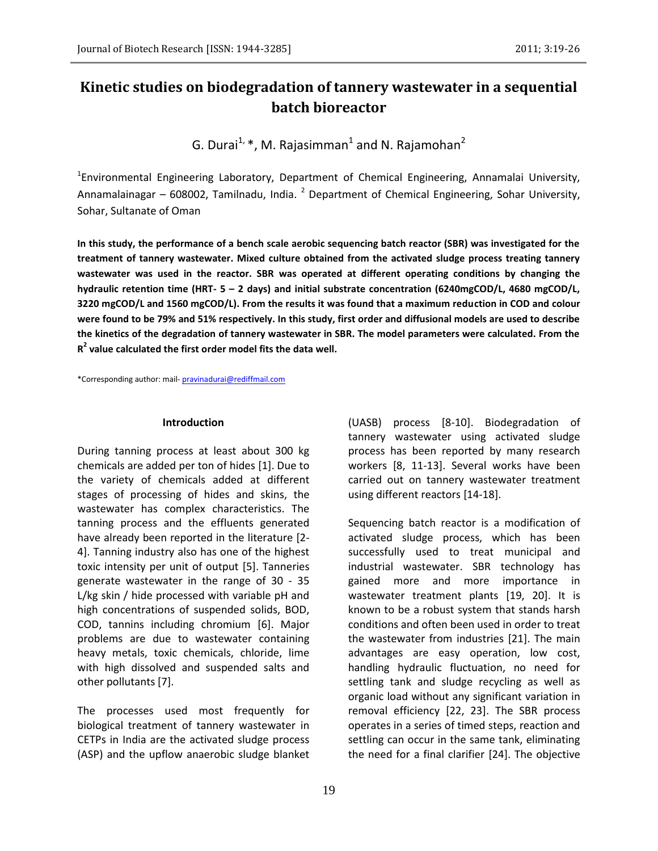# **Kinetic studies on biodegradation of tannery wastewater in a sequential batch bioreactor**

G. Durai $^{1,}$  \*, M. Rajasimman $^{1}$  and N. Rajamohan $^{2}$ 

<sup>1</sup>Environmental Engineering Laboratory, Department of Chemical Engineering, Annamalai University, Annamalainagar – 608002, Tamilnadu, India. <sup>2</sup> Department of Chemical Engineering, Sohar University, Sohar, Sultanate of Oman

**In this study, the performance of a bench scale aerobic sequencing batch reactor (SBR) was investigated for the treatment of tannery wastewater. Mixed culture obtained from the activated sludge process treating tannery wastewater was used in the reactor. SBR was operated at different operating conditions by changing the hydraulic retention time (HRT- 5 – 2 days) and initial substrate concentration (6240mgCOD/L, 4680 mgCOD/L, 3220 mgCOD/L and 1560 mgCOD/L). From the results it was found that a maximum reduction in COD and colour were found to be 79% and 51% respectively. In this study, first order and diffusional models are used to describe the kinetics of the degradation of tannery wastewater in SBR. The model parameters were calculated. From the R 2 value calculated the first order model fits the data well.**

\*Corresponding author: mail- [pravinadurai@rediffmail.com](mailto:pravinadurai@rediffmail.com)

### **Introduction**

During tanning process at least about 300 kg chemicals are added per ton of hides [1]. Due to the variety of chemicals added at different stages of processing of hides and skins, the wastewater has complex characteristics. The tanning process and the effluents generated have already been reported in the literature [2- 4]. Tanning industry also has one of the highest toxic intensity per unit of output [5]. Tanneries generate wastewater in the range of 30 - 35 L/kg skin / hide processed with variable pH and high concentrations of suspended solids, BOD, COD, tannins including chromium [6]. Major problems are due to wastewater containing heavy metals, toxic chemicals, chloride, lime with high dissolved and suspended salts and other pollutants [7].

The processes used most frequently for biological treatment of tannery wastewater in CETPs in India are the activated sludge process (ASP) and the upflow anaerobic sludge blanket

(UASB) process [8-10]. Biodegradation of tannery wastewater using activated sludge process has been reported by many research workers [8, 11-13]. Several works have been carried out on tannery wastewater treatment using different reactors [14-18].

Sequencing batch reactor is a modification of activated sludge process, which has been successfully used to treat municipal and industrial wastewater. SBR technology has gained more and more importance in wastewater treatment plants [19, 20]. It is known to be a robust system that stands harsh conditions and often been used in order to treat the wastewater from industries [21]. The main advantages are easy operation, low cost, handling hydraulic fluctuation, no need for settling tank and sludge recycling as well as organic load without any significant variation in removal efficiency [22, 23]. The SBR process operates in a series of timed steps, reaction and settling can occur in the same tank, eliminating the need for a final clarifier [24]. The objective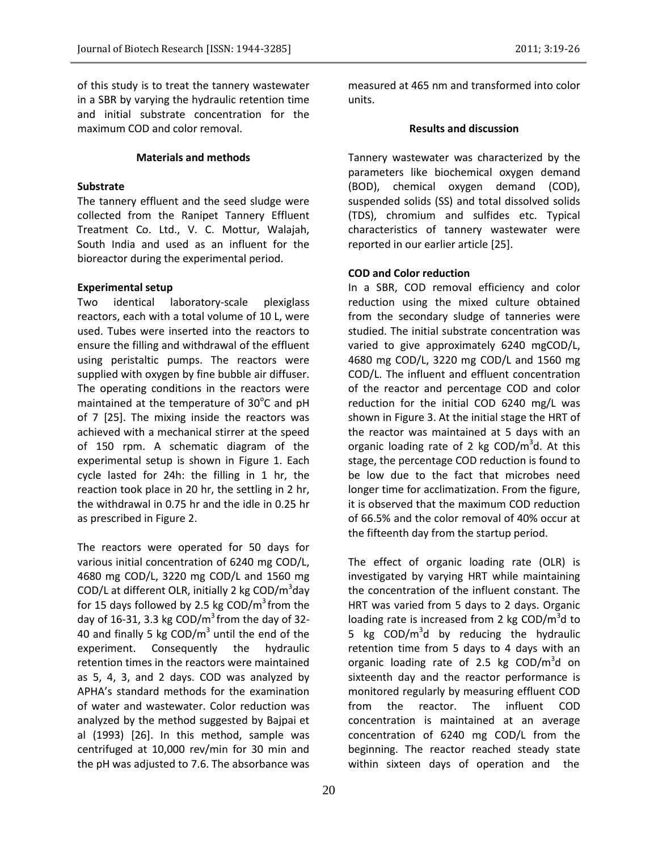of this study is to treat the tannery wastewater in a SBR by varying the hydraulic retention time and initial substrate concentration for the maximum COD and color removal.

## **Materials and methods**

## **Substrate**

The tannery effluent and the seed sludge were collected from the Ranipet Tannery Effluent Treatment Co. Ltd., V. C. Mottur, Walajah, South India and used as an influent for the bioreactor during the experimental period.

## **Experimental setup**

Two identical laboratory-scale plexiglass reactors, each with a total volume of 10 L, were used. Tubes were inserted into the reactors to ensure the filling and withdrawal of the effluent using peristaltic pumps. The reactors were supplied with oxygen by fine bubble air diffuser. The operating conditions in the reactors were maintained at the temperature of  $30^{\circ}$ C and pH of 7 [25]. The mixing inside the reactors was achieved with a mechanical stirrer at the speed of 150 rpm. A schematic diagram of the experimental setup is shown in Figure 1. Each cycle lasted for 24h: the filling in 1 hr, the reaction took place in 20 hr, the settling in 2 hr, the withdrawal in 0.75 hr and the idle in 0.25 hr as prescribed in Figure 2.

The reactors were operated for 50 days for various initial concentration of 6240 mg COD/L, 4680 mg COD/L, 3220 mg COD/L and 1560 mg COD/L at different OLR, initially 2 kg COD/m<sup>3</sup>day for 15 days followed by 2.5 kg  $\textsf{COD/m}^3$  from the day of 16-31, 3.3 kg COD/ $m<sup>3</sup>$  from the day of 32-40 and finally 5 kg  $\text{COD/m}^3$  until the end of the experiment. Consequently the hydraulic retention times in the reactors were maintained as 5, 4, 3, and 2 days. COD was analyzed by APHA's standard methods for the examination of water and wastewater. Color reduction was analyzed by the method suggested by Bajpai et al (1993) [26]. In this method, sample was centrifuged at 10,000 rev/min for 30 min and the pH was adjusted to 7.6. The absorbance was

measured at 465 nm and transformed into color units.

# **Results and discussion**

Tannery wastewater was characterized by the parameters like biochemical oxygen demand (BOD), chemical oxygen demand (COD), suspended solids (SS) and total dissolved solids (TDS), chromium and sulfides etc. Typical characteristics of tannery wastewater were reported in our earlier article [25].

## **COD and Color reduction**

In a SBR, COD removal efficiency and color reduction using the mixed culture obtained from the secondary sludge of tanneries were studied. The initial substrate concentration was varied to give approximately 6240 mgCOD/L, 4680 mg COD/L, 3220 mg COD/L and 1560 mg COD/L. The influent and effluent concentration of the reactor and percentage COD and color reduction for the initial COD 6240 mg/L was shown in Figure 3. At the initial stage the HRT of the reactor was maintained at 5 days with an organic loading rate of 2 kg  $\text{COD/m}^3$ d. At this stage, the percentage COD reduction is found to be low due to the fact that microbes need longer time for acclimatization. From the figure, it is observed that the maximum COD reduction of 66.5% and the color removal of 40% occur at the fifteenth day from the startup period.

The effect of organic loading rate (OLR) is investigated by varying HRT while maintaining the concentration of the influent constant. The HRT was varied from 5 days to 2 days. Organic loading rate is increased from 2 kg  $\text{COD/m}^3\text{d}$  to 5 kg COD/m<sup>3</sup>d by reducing the hydraulic retention time from 5 days to 4 days with an organic loading rate of 2.5 kg COD/m<sup>3</sup>d on sixteenth day and the reactor performance is monitored regularly by measuring effluent COD from the reactor. The influent COD concentration is maintained at an average concentration of 6240 mg COD/L from the beginning. The reactor reached steady state within sixteen days of operation and the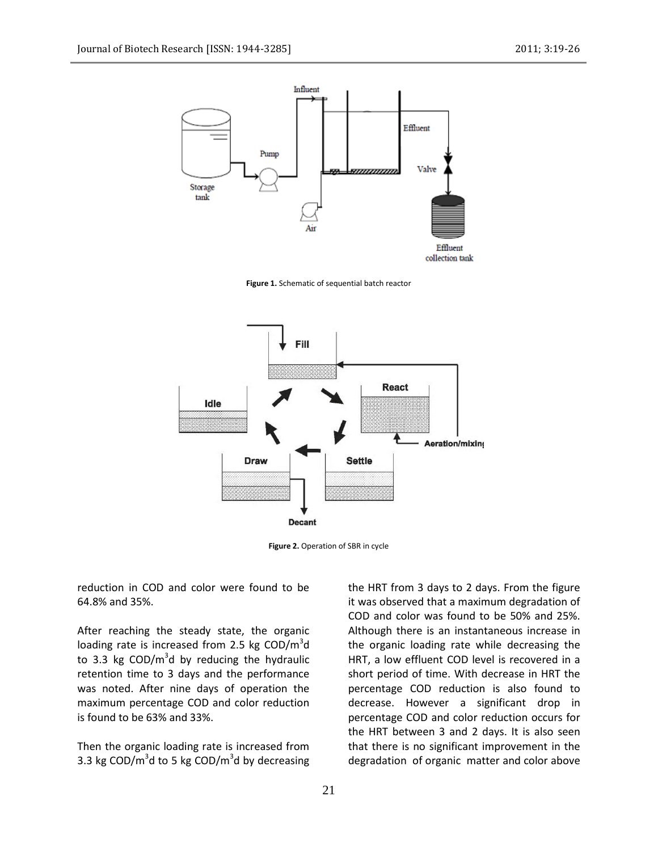

**Figure 1.** Schematic of sequential batch reactor



**Figure 2.** Operation of SBR in cycle

reduction in COD and color were found to be 64.8% and 35%.

After reaching the steady state, the organic loading rate is increased from 2.5 kg COD/ $m^3$ d to 3.3 kg  $\text{COD/m}^3$ d by reducing the hydraulic retention time to 3 days and the performance was noted. After nine days of operation the maximum percentage COD and color reduction is found to be 63% and 33%.

Then the organic loading rate is increased from 3.3 kg COD/ $m^3$ d to 5 kg COD/ $m^3$ d by decreasing

the HRT from 3 days to 2 days. From the figure it was observed that a maximum degradation of COD and color was found to be 50% and 25%. Although there is an instantaneous increase in the organic loading rate while decreasing the HRT, a low effluent COD level is recovered in a short period of time. With decrease in HRT the percentage COD reduction is also found to decrease. However a significant drop in percentage COD and color reduction occurs for the HRT between 3 and 2 days. It is also seen that there is no significant improvement in the degradation of organic matter and color above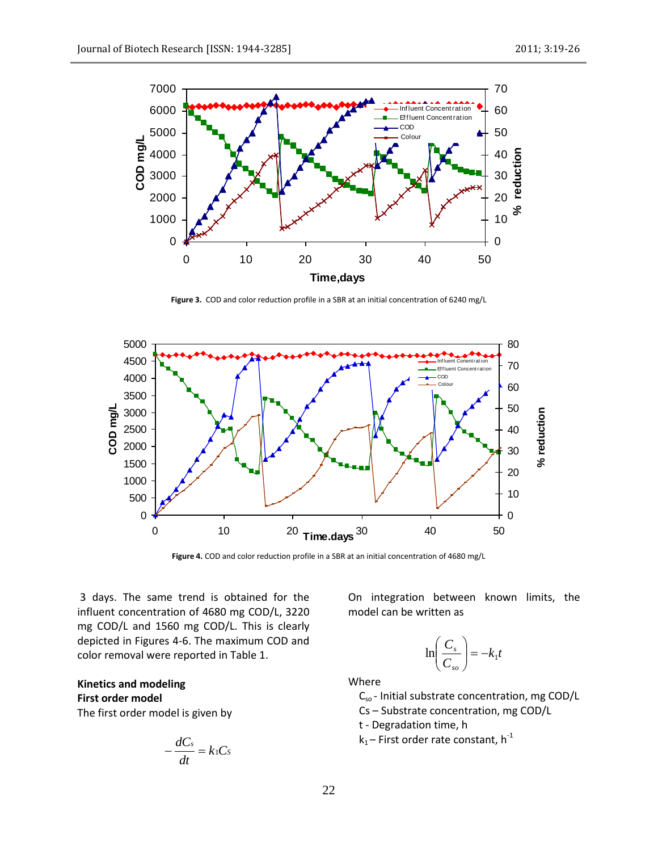

**Figure 3.** COD and color reduction profile in a SBR at an initial concentration of 6240 mg/L



**Figure 4.** COD and color reduction profile in a SBR at an initial concentration of 4680 mg/L

3 days. The same trend is obtained for the influent concentration of 4680 mg COD/L, 3220 mg COD/L and 1560 mg COD/L. This is clearly depicted in Figures 4-6. The maximum COD and color removal were reported in Table 1.

**Kinetics and modeling First order model**

The first order model is given by

$$
-\frac{dC_s}{dt}=k_1C_s
$$

On integration between known limits, the model can be written as

$$
\ln\left(\frac{C_s}{C_{so}}\right) = -k_1 t
$$

Where

C<sub>so</sub> - Initial substrate concentration, mg COD/L

Cs – Substrate concentration, mg COD/L

t - Degradation time, h

 $k_1$  – First order rate constant, h<sup>-1</sup>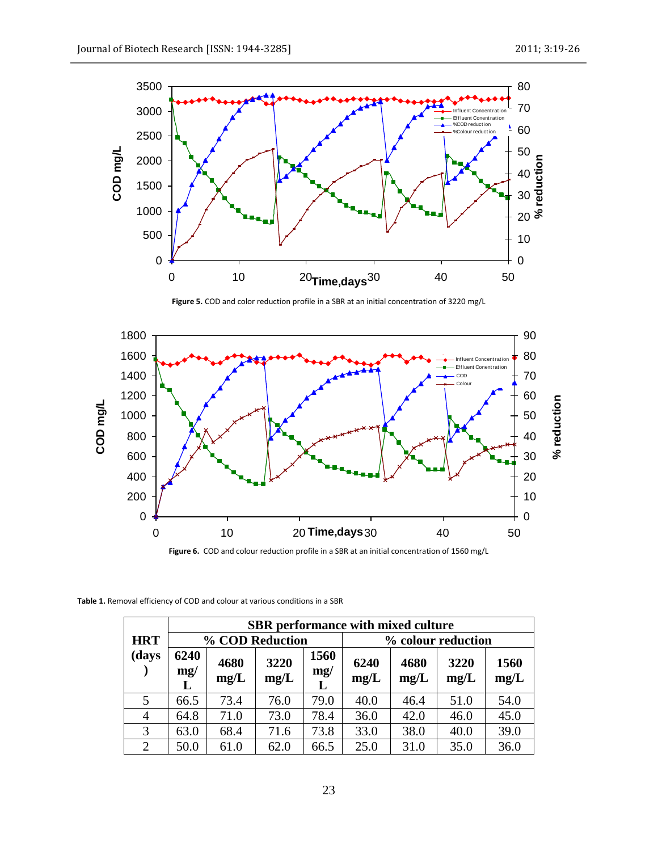

**Figure 5.** COD and color reduction profile in a SBR at an initial concentration of 3220 mg/L



**Figure 6.** COD and colour reduction profile in a SBR at an initial concentration of 1560 mg/L

**Table 1.** Removal efficiency of COD and colour at various conditions in a SBR

|                     | <b>SBR</b> performance with mixed culture |              |              |                  |                    |              |              |              |  |  |  |
|---------------------|-------------------------------------------|--------------|--------------|------------------|--------------------|--------------|--------------|--------------|--|--|--|
| <b>HRT</b><br>(days | % COD Reduction                           |              |              |                  | % colour reduction |              |              |              |  |  |  |
|                     | 6240<br>mg/<br>L                          | 4680<br>mg/L | 3220<br>mg/L | 1560<br>mg/<br>L | 6240<br>mg/L       | 4680<br>mg/L | 3220<br>mg/L | 1560<br>mg/L |  |  |  |
| 5                   | 66.5                                      | 73.4         | 76.0         | 79.0             | 40.0               | 46.4         | 51.0         | 54.0         |  |  |  |
| 4                   | 64.8                                      | 71.0         | 73.0         | 78.4             | 36.0               | 42.0         | 46.0         | 45.0         |  |  |  |
| 3                   | 63.0                                      | 68.4         | 71.6         | 73.8             | 33.0               | 38.0         | 40.0         | 39.0         |  |  |  |
| 2                   | 50.0                                      | 61.0         | 62.0         | 66.5             | 25.0               | 31.0         | 35.0         | 36.0         |  |  |  |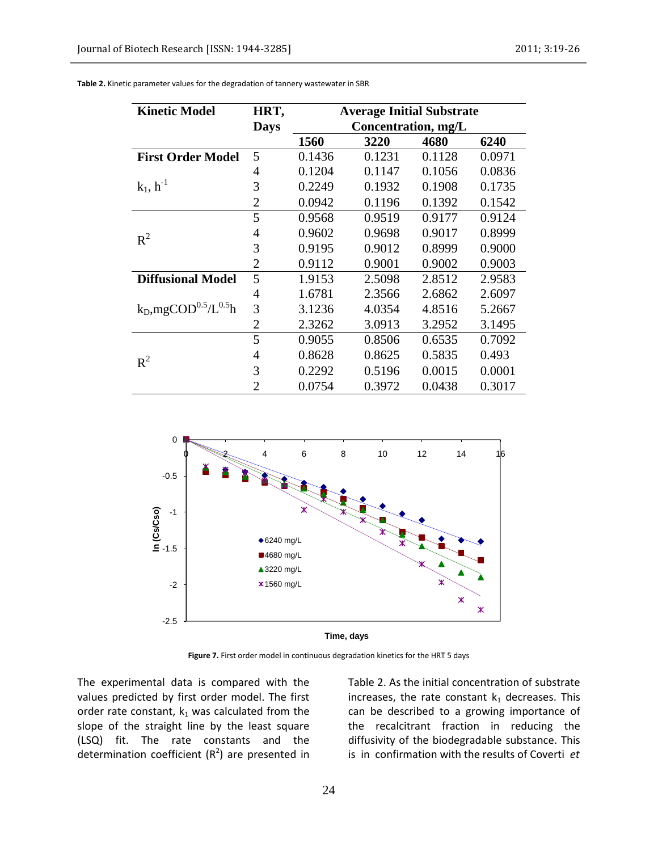| <b>Kinetic Model</b>        | HRT,           | <b>Average Initial Substrate</b> |        |        |        |  |  |  |
|-----------------------------|----------------|----------------------------------|--------|--------|--------|--|--|--|
|                             | <b>Days</b>    | Concentration, mg/L              |        |        |        |  |  |  |
|                             |                | 1560                             | 3220   | 4680   | 6240   |  |  |  |
| <b>First Order Model</b>    | 5              | 0.1436                           | 0.1231 | 0.1128 | 0.0971 |  |  |  |
|                             | 4              | 0.1204                           | 0.1147 | 0.1056 | 0.0836 |  |  |  |
| $k_1, h^{-1}$               | 3              | 0.2249                           | 0.1932 | 0.1908 | 0.1735 |  |  |  |
|                             | $\overline{2}$ | 0.0942                           | 0.1196 | 0.1392 | 0.1542 |  |  |  |
|                             | 5              | 0.9568                           | 0.9519 | 0.9177 | 0.9124 |  |  |  |
| $R^2$                       | 4              | 0.9602                           | 0.9698 | 0.9017 | 0.8999 |  |  |  |
|                             | 3              | 0.9195                           | 0.9012 | 0.8999 | 0.9000 |  |  |  |
|                             | $\overline{2}$ | 0.9112                           | 0.9001 | 0.9002 | 0.9003 |  |  |  |
| <b>Diffusional Model</b>    | 5              | 1.9153                           | 2.5098 | 2.8512 | 2.9583 |  |  |  |
|                             | 4              | 1.6781                           | 2.3566 | 2.6862 | 2.6097 |  |  |  |
| $k_D, mgCOD^{0.5}/L^{0.5}h$ | 3              | 3.1236                           | 4.0354 | 4.8516 | 5.2667 |  |  |  |
|                             | 2              | 2.3262                           | 3.0913 | 3.2952 | 3.1495 |  |  |  |
|                             | 5              | 0.9055                           | 0.8506 | 0.6535 | 0.7092 |  |  |  |
| $R^2$                       | 4              | 0.8628                           | 0.8625 | 0.5835 | 0.493  |  |  |  |
|                             | 3              | 0.2292                           | 0.5196 | 0.0015 | 0.0001 |  |  |  |
|                             | 2              | 0.0754                           | 0.3972 | 0.0438 | 0.3017 |  |  |  |

**Table 2.** Kinetic parameter values for the degradation of tannery wastewater in SBR



Figure 7. First order model in continuous degradation kinetics for the HRT 5 days

The experimental data is compared with the values predicted by first order model. The first order rate constant,  $k_1$  was calculated from the slope of the straight line by the least square (LSQ) fit. The rate constants and the determination coefficient  $(R^2)$  are presented in

Table 2. As the initial concentration of substrate increases, the rate constant  $k_1$  decreases. This can be described to a growing importance of the recalcitrant fraction in reducing the diffusivity of the biodegradable substance. This is in confirmation with the results of Coverti *et*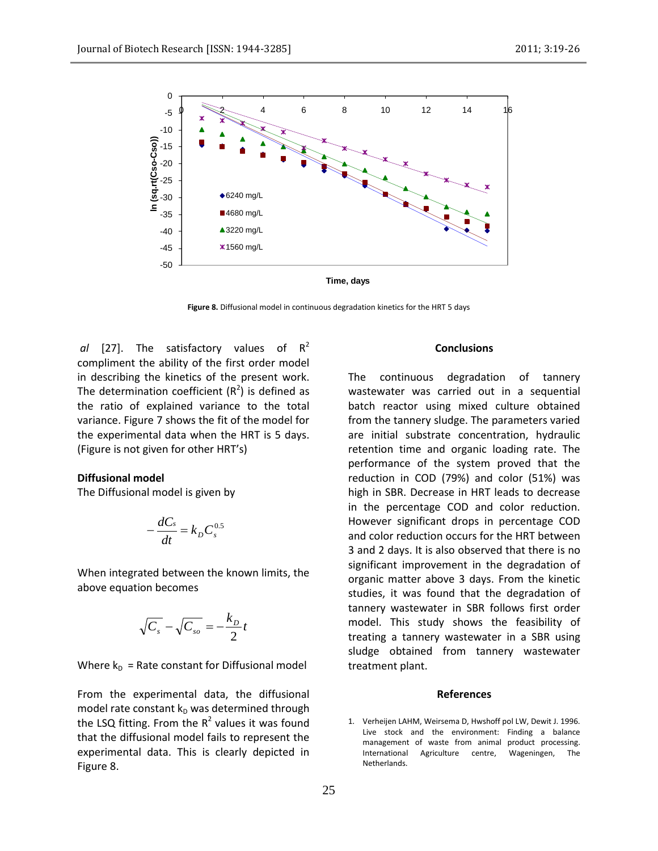

**Figure 8.** Diffusional model in continuous degradation kinetics for the HRT 5 days

*al* [27]. The satisfactory values of  $R^2$ compliment the ability of the first order model in describing the kinetics of the present work. The determination coefficient  $(R^2)$  is defined as the ratio of explained variance to the total variance. Figure 7 shows the fit of the model for the experimental data when the HRT is 5 days. (Figure is not given for other HRT's)

## **Diffusional model**

The Diffusional model is given by

$$
-\frac{dC_s}{dt} = k_D C_s^{0.5}
$$

When integrated between the known limits, the above equation becomes

$$
\sqrt{C_s} - \sqrt{C_{so}} = -\frac{k_D}{2}t
$$

Where  $k_D$  = Rate constant for Diffusional model

From the experimental data, the diffusional model rate constant  $k_D$  was determined through the LSQ fitting. From the  $R^2$  values it was found that the diffusional model fails to represent the experimental data. This is clearly depicted in Figure 8.

## **Conclusions**

The continuous degradation of tannery wastewater was carried out in a sequential batch reactor using mixed culture obtained from the tannery sludge. The parameters varied are initial substrate concentration, hydraulic retention time and organic loading rate. The performance of the system proved that the reduction in COD (79%) and color (51%) was high in SBR. Decrease in HRT leads to decrease in the percentage COD and color reduction. However significant drops in percentage COD and color reduction occurs for the HRT between 3 and 2 days. It is also observed that there is no significant improvement in the degradation of organic matter above 3 days. From the kinetic studies, it was found that the degradation of tannery wastewater in SBR follows first order model. This study shows the feasibility of treating a tannery wastewater in a SBR using sludge obtained from tannery wastewater treatment plant.

#### **References**

1. Verheijen LAHM, Weirsema D, Hwshoff pol LW, Dewit J. 1996. Live stock and the environment: Finding a balance management of waste from animal product processing. International Agriculture centre, Wageningen, The Netherlands.